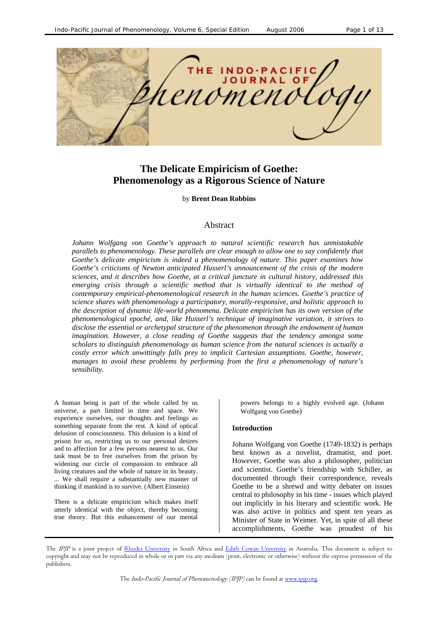

# **The Delicate Empiricism of Goethe: Phenomenology as a Rigorous Science of Nature**

by **Brent Dean Robbins**

## Abstract

*Johann Wolfgang von Goethe's approach to natural scientific research has unmistakable parallels to phenomenology. These parallels are clear enough to allow one to say confidently that Goethe's delicate empiricism is indeed a phenomenology of nature. This paper examines how Goethe's criticisms of Newton anticipated Husserl's announcement of the crisis of the modern sciences, and it describes how Goethe, at a critical juncture in cultural history, addressed this emerging crisis through a scientific method that is virtually identical to the method of contemporary empirical-phenomenological research in the human sciences. Goethe's practice of science shares with phenomenology a participatory, morally-responsive, and holistic approach to the description of dynamic life-world phenomena. Delicate empiricism has its own version of the phenomenological epoché, and, like Husserl's technique of imaginative variation, it strives to disclose the essential or archetypal structure of the phenomenon through the endowment of human imagination. However, a close reading of Goethe suggests that the tendency amongst some scholars to distinguish phenomenology as human science from the natural sciences is actually a costly error which unwittingly falls prey to implicit Cartesian assumptions. Goethe, however, manages to avoid these problems by performing from the first a phenomenology of nature's sensibility.* 

A human being is part of the whole called by us universe, a part limited in time and space. We experience ourselves, our thoughts and feelings as something separate from the rest. A kind of optical delusion of consciousness. This delusion is a kind of prison for us, restricting us to our personal desires and to affection for a few persons nearest to us. Our task must be to free ourselves from the prison by widening our circle of compassion to embrace all living creatures and the whole of nature in its beauty. ... We shall require a substantially new manner of thinking if mankind is to survive. (Albert Einstein)

There is a delicate empiricism which makes itself utterly identical with the object, thereby becoming true theory. But this enhancement of our mental

powers belongs to a highly evolved age. (Johann Wolfgang von Goethe)

#### **Introduction**

Johann Wolfgang von Goethe (1749-1832) is perhaps best known as a novelist, dramatist, and poet. However, Goethe was also a philosopher, politician and scientist. Goethe's friendship with Schiller, as documented through their correspondence, reveals Goethe to be a shrewd and witty debater on issues central to philosophy in his time - issues which played out implicitly in his literary and scientific work. He was also active in politics and spent ten years as Minister of State in Weimer. Yet, in spite of all these accomplishments, Goethe was proudest of his

The IPJP is a joint project of Rhodes University in South Africa and Edith Cowan University in Australia. This document is subject to copyright and may not be reproduced in whole or in part via any medium (print, electronic or otherwise) without the express permission of the publishers.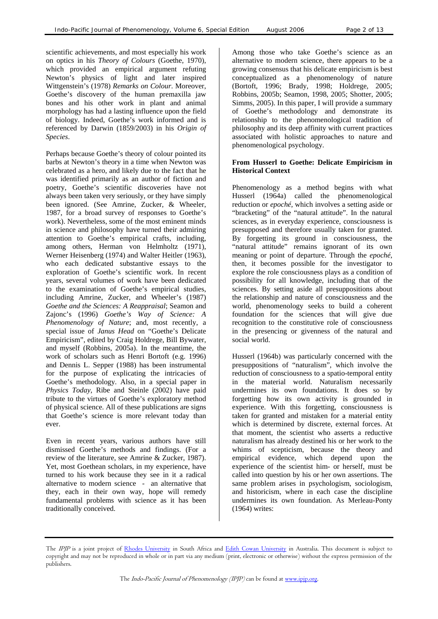scientific achievements, and most especially his work on optics in his *Theory of Colours* (Goethe, 1970), which provided an empirical argument refuting Newton's physics of light and later inspired Wittgenstein's (1978) *Remarks on Colour*. Moreover, Goethe's discovery of the human premaxilla jaw bones and his other work in plant and animal morphology has had a lasting influence upon the field of biology. Indeed, Goethe's work informed and is referenced by Darwin (1859/2003) in his *Origin of Species*.

Perhaps because Goethe's theory of colour pointed its barbs at Newton's theory in a time when Newton was celebrated as a hero, and likely due to the fact that he was identified primarily as an author of fiction and poetry, Goethe's scientific discoveries have not always been taken very seriously, or they have simply been ignored. (See Amrine, Zucker, & Wheeler, 1987, for a broad survey of responses to Goethe's work). Nevertheless, some of the most eminent minds in science and philosophy have turned their admiring attention to Goethe's empirical crafts, including, among others, Herman von Helmholtz (1971), Werner Heisenberg (1974) and Walter Heitler (1963), who each dedicated substantive essays to the exploration of Goethe's scientific work. In recent years, several volumes of work have been dedicated to the examination of Goethe's empirical studies, including Amrine, Zucker, and Wheeler's (1987) *Goethe and the Sciences: A Reappraisal*; Seamon and Zajonc's (1996) *Goethe's Way of Science: A Phenomenology of Nature*; and, most recently, a special issue of *Janus Head* on "Goethe's Delicate Empiricism", edited by Craig Holdrege, Bill Bywater, and myself (Robbins, 2005a). In the meantime, the work of scholars such as Henri Bortoft (e.g. 1996) and Dennis L. Sepper (1988) has been instrumental for the purpose of explicating the intricacies of Goethe's methodology. Also, in a special paper in *Physics Today*, Ribe and Steinle (2002) have paid tribute to the virtues of Goethe's exploratory method of physical science. All of these publications are signs that Goethe's science is more relevant today than ever.

Even in recent years, various authors have still dismissed Goethe's methods and findings. (For a review of the literature, see Amrine & Zucker, 1987). Yet, most Goethean scholars, in my experience, have turned to his work because they see in it a radical alternative to modern science - an alternative that they, each in their own way, hope will remedy fundamental problems with science as it has been traditionally conceived.

Among those who take Goethe's science as an alternative to modern science, there appears to be a growing consensus that his delicate empiricism is best conceptualized as a phenomenology of nature (Bortoft, 1996; Brady, 1998; Holdrege, 2005; Robbins, 2005b; Seamon, 1998, 2005; Shotter, 2005; Simms, 2005). In this paper, I will provide a summary of Goethe's methodology and demonstrate its relationship to the phenomenological tradition of philosophy and its deep affinity with current practices associated with holistic approaches to nature and phenomenological psychology.

# **From Husserl to Goethe: Delicate Empiricism in Historical Context**

Phenomenology as a method begins with what Husserl (1964a) called the phenomenological reduction or *epoché*, which involves a setting aside or "bracketing" of the "natural attitude". In the natural sciences, as in everyday experience, consciousness is presupposed and therefore usually taken for granted. By forgetting its ground in consciousness, the "natural attitude" remains ignorant of its own meaning or point of departure. Through the *epoché*, then, it becomes possible for the investigator to explore the role consciousness plays as a condition of possibility for all knowledge, including that of the sciences. By setting aside all presuppositions about the relationship and nature of consciousness and the world, phenomenology seeks to build a coherent foundation for the sciences that will give due recognition to the constitutive role of consciousness in the presencing or givenness of the natural and social world.

Husserl (1964b) was particularly concerned with the presuppositions of "naturalism", which involve the reduction of consciousness to a spatio-temporal entity in the material world. Naturalism necessarily undermines its own foundations. It does so by forgetting how its own activity is grounded in experience. With this forgetting, consciousness is taken for granted and mistaken for a material entity which is determined by discrete, external forces. At that moment, the scientist who asserts a reductive naturalism has already destined his or her work to the whims of scepticism, because the theory and empirical evidence, which depend upon the experience of the scientist him- or herself, must be called into question by his or her own assertions. The same problem arises in psychologism, sociologism, and historicism, where in each case the discipline undermines its own foundation. As Merleau-Ponty (1964) writes:

The IPJP is a joint project of Rhodes University in South Africa and Edith Cowan University in Australia. This document is subject to copyright and may not be reproduced in whole or in part via any medium (print, electronic or otherwise) without the express permission of the publishers.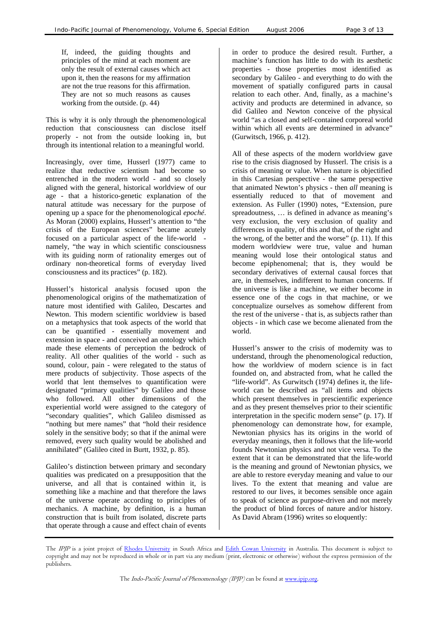If, indeed, the guiding thoughts and principles of the mind at each moment are only the result of external causes which act upon it, then the reasons for my affirmation are not the true reasons for this affirmation. They are not so much reasons as causes working from the outside. (p. 44)

This is why it is only through the phenomenological reduction that consciousness can disclose itself properly - not from the outside looking in, but through its intentional relation to a meaningful world.

Increasingly, over time, Husserl (1977) came to realize that reductive scientism had become so entrenched in the modern world - and so closely aligned with the general, historical worldview of our age - that a historico-genetic explanation of the natural attitude was necessary for the purpose of opening up a space for the phenomenological *epoché*. As Moran (2000) explains, Husserl's attention to "the crisis of the European sciences" became acutely focused on a particular aspect of the life-world namely, "the way in which scientific consciousness with its guiding norm of rationality emerges out of ordinary non-theoretical forms of everyday lived consciousness and its practices" (p. 182).

Husserl's historical analysis focused upon the phenomenological origins of the mathematization of nature most identified with Galileo, Descartes and Newton. This modern scientific worldview is based on a metaphysics that took aspects of the world that can be quantified - essentially movement and extension in space - and conceived an ontology which made these elements of perception the bedrock of reality. All other qualities of the world - such as sound, colour, pain - were relegated to the status of mere products of subjectivity. Those aspects of the world that lent themselves to quantification were designated "primary qualities" by Galileo and those who followed. All other dimensions of the experiential world were assigned to the category of "secondary qualities", which Galileo dismissed as "nothing but mere names" that "hold their residence solely in the sensitive body; so that if the animal were removed, every such quality would be abolished and annihilated" (Galileo cited in Burtt, 1932, p. 85).

Galileo's distinction between primary and secondary qualities was predicated on a presupposition that the universe, and all that is contained within it, is something like a machine and that therefore the laws of the universe operate according to principles of mechanics. A machine, by definition, is a human construction that is built from isolated, discrete parts that operate through a cause and effect chain of events

in order to produce the desired result. Further, a machine's function has little to do with its aesthetic properties - those properties most identified as secondary by Galileo - and everything to do with the movement of spatially configured parts in causal relation to each other. And, finally, as a machine's activity and products are determined in advance, so did Galileo and Newton conceive of the physical world "as a closed and self-contained corporeal world within which all events are determined in advance" (Gurwitsch, 1966, p. 412).

All of these aspects of the modern worldview gave rise to the crisis diagnosed by Husserl. The crisis is a crisis of meaning or value. When nature is objectified in this Cartesian perspective - the same perspective that animated Newton's physics - then *all* meaning is essentially reduced to that of movement and extension. As Fuller (1990) notes, "Extension, pure spreadoutness, … is defined in advance as meaning's very exclusion, the very exclusion of quality and differences in quality, of this and that, of the right and the wrong, of the better and the worse" (p. 11). If this modern worldview were true, value and human meaning would lose their ontological status and become epiphenomenal; that is, they would be secondary derivatives of external causal forces that are, in themselves, indifferent to human concerns. If the universe is like a machine, we either become in essence one of the cogs in that machine, or we conceptualize ourselves as somehow different from the rest of the universe - that is, as subjects rather than objects - in which case we become alienated from the world.

Husserl's answer to the crisis of modernity was to understand, through the phenomenological reduction, how the worldview of modern science is in fact founded on, and abstracted from, what he called the "life-world". As Gurwitsch (1974) defines it, the lifeworld can be described as "all items and objects which present themselves in prescientific experience and as they present themselves prior to their scientific interpretation in the specific modern sense" (p. 17). If phenomenology can demonstrate how, for example, Newtonian physics has its origins in the world of everyday meanings, then it follows that the life-world founds Newtonian physics and not vice versa. To the extent that it can be demonstrated that the life-world is the meaning and ground of Newtonian physics, we are able to restore everyday meaning and value to our lives. To the extent that meaning and value are restored to our lives, it becomes sensible once again to speak of science as purpose-driven and not merely the product of blind forces of nature and/or history. As David Abram (1996) writes so eloquently:

The IPJP is a joint project of Rhodes University in South Africa and Edith Cowan University in Australia. This document is subject to copyright and may not be reproduced in whole or in part via any medium (print, electronic or otherwise) without the express permission of the publishers.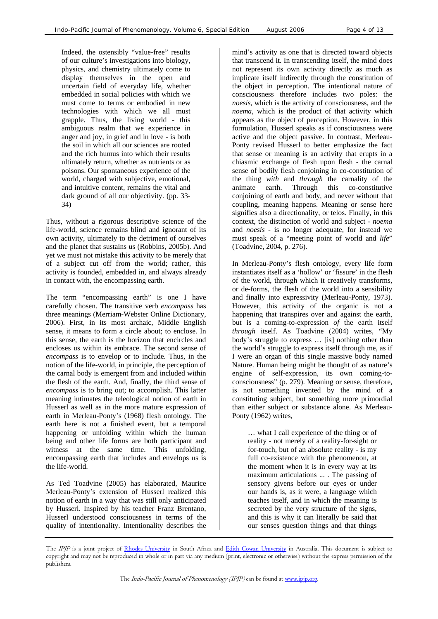Indeed, the ostensibly "value-free" results of our culture's investigations into biology, physics, and chemistry ultimately come to display themselves in the open and uncertain field of everyday life, whether embedded in social policies with which we must come to terms or embodied in new technologies with which we all must grapple. Thus, the living world - this ambiguous realm that we experience in anger and joy, in grief and in love - is both the soil in which all our sciences are rooted and the rich humus into which their results ultimately return, whether as nutrients or as poisons. Our spontaneous experience of the world, charged with subjective, emotional, and intuitive content, remains the vital and dark ground of all our objectivity. (pp. 33- 34)

Thus, without a rigorous descriptive science of the life-world, science remains blind and ignorant of its own activity, ultimately to the detriment of ourselves and the planet that sustains us (Robbins, 2005b). And yet we must not mistake this activity to be merely that of a subject cut off from the world; rather, this activity is founded, embedded in, and always already in contact with, the encompassing earth.

The term "encompassing earth" is one I have carefully chosen. The transitive verb *encompass* has three meanings (Merriam-Webster Online Dictionary, 2006). First, in its most archaic, Middle English sense, it means to form a circle about; to enclose. In this sense, the earth is the horizon that encircles and encloses us within its embrace. The second sense of *encompass* is to envelop or to include. Thus, in the notion of the life-world, in principle, the perception of the carnal body is emergent from and included within the flesh of the earth. And, finally, the third sense of *encompass* is to bring out; to accomplish. This latter meaning intimates the teleological notion of earth in Husserl as well as in the more mature expression of earth in Merleau-Ponty's (1968) flesh ontology. The earth here is not a finished event, but a temporal happening or unfolding within which the human being and other life forms are both participant and witness at the same time. This unfolding, encompassing earth that includes and envelops us is the life-world.

As Ted Toadvine (2005) has elaborated, Maurice Merleau-Ponty's extension of Husserl realized this notion of earth in a way that was still only anticipated by Husserl. Inspired by his teacher Franz Brentano, Husserl understood consciousness in terms of the quality of intentionality. Intentionality describes the

mind's activity as one that is directed toward objects that transcend it. In transcending itself, the mind does not represent its own activity directly as much as implicate itself indirectly through the constitution of the object in perception. The intentional nature of consciousness therefore includes two poles: the *noesis*, which is the activity of consciousness, and the *noema*, which is the product of that activity which appears as the object of perception. However, in this formulation, Husserl speaks as if consciousness were active and the object passive. In contrast, Merleau-Ponty revised Husserl to better emphasize the fact that sense or meaning is an activity that erupts in a chiasmic exchange of flesh upon flesh - the carnal sense of bodily flesh conjoining in co-constitution of the thing *with* and *through* the carnality of the animate earth. Through this co-constitutive conjoining of earth and body, and never without that coupling, meaning happens. Meaning or sense here signifies also a directionality, or telos. Finally, in this context, the distinction of world and subject - *noema* and *noesis* - is no longer adequate, for instead we must speak of a "meeting point of world and *life*" (Toadvine, 2004, p. 276).

In Merleau-Ponty's flesh ontology, every life form instantiates itself as a 'hollow' or 'fissure' in the flesh of the world, through which it creatively transforms, or de-forms, the flesh of the world into a sensibility and finally into expressivity (Merleau-Ponty, 1973). However, this activity of the organic is not a happening that transpires over and against the earth, but is a coming-to-expression *of* the earth itself *through* itself. As Toadvine (2004) writes, "My body's struggle to express … [is] nothing other than the world's struggle to express itself through me, as if I were an organ of this single massive body named Nature. Human being might be thought of as nature's engine of self-expression, its own coming-toconsciousness" (p. 279). Meaning or sense, therefore, is not something invented by the mind of a constituting subject, but something more primordial than either subject or substance alone. As Merleau-Ponty (1962) writes,

… what I call experience of the thing or of reality - not merely of a reality-for-sight or for-touch, but of an absolute reality - is my full co-existence with the phenomenon, at the moment when it is in every way at its maximum articulations ... . The passing of sensory givens before our eyes or under our hands is, as it were, a language which teaches itself, and in which the meaning is secreted by the very structure of the signs, and this is why it can literally be said that our senses question things and that things

The IPJP is a joint project of Rhodes University in South Africa and Edith Cowan University in Australia. This document is subject to copyright and may not be reproduced in whole or in part via any medium (print, electronic or otherwise) without the express permission of the publishers.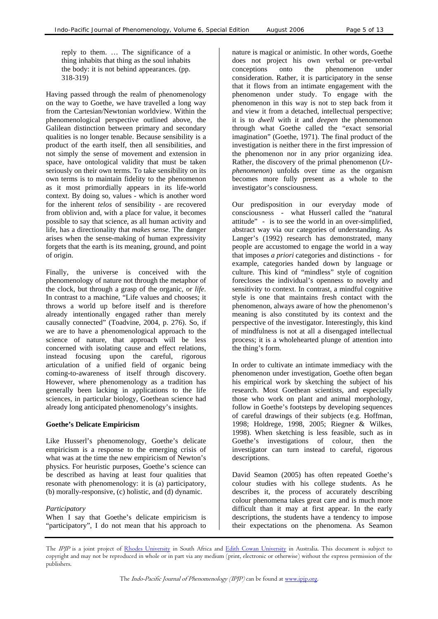reply to them. … The significance of a thing inhabits that thing as the soul inhabits the body: it is not behind appearances. (pp. 318-319)

Having passed through the realm of phenomenology on the way to Goethe, we have travelled a long way from the Cartesian/Newtonian worldview. Within the phenomenological perspective outlined above, the Galilean distinction between primary and secondary qualities is no longer tenable. Because sensibility is a product of the earth itself, then all sensibilities, and not simply the sense of movement and extension in space, have ontological validity that must be taken seriously on their own terms. To take sensibility on its own terms is to maintain fidelity to the phenomenon as it most primordially appears in its life-world context. By doing so, values - which is another word for the inherent *telos* of sensibility - are recovered from oblivion and, with a place for value, it becomes possible to say that science, as all human activity and life, has a directionality that *makes sense*. The danger arises when the sense-making of human expressivity forgets that the earth is its meaning, ground, and point of origin.

Finally, the universe is conceived with the phenomenology of nature not through the metaphor of the clock, but through a grasp of the organic, or *life*. In contrast to a machine, "Life values and chooses; it throws a world up before itself and is therefore already intentionally engaged rather than merely causally connected" (Toadvine, 2004, p. 276). So, if we are to have a phenomenological approach to the science of nature, that approach will be less concerned with isolating cause and effect relations, instead focusing upon the careful, rigorous articulation of a unified field of organic being coming-to-awareness of itself through discovery. However, where phenomenology as a tradition has generally been lacking in applications to the life sciences, in particular biology, Goethean science had already long anticipated phenomenology's insights.

# **Goethe's Delicate Empiricism**

Like Husserl's phenomenology, Goethe's delicate empiricism is a response to the emerging crisis of what was at the time the new empiricism of Newton's physics. For heuristic purposes, Goethe's science can be described as having at least four qualities that resonate with phenomenology: it is (a) participatory, (b) morally-responsive, (c) holistic, and (d) dynamic.

# *Participatory*

When I say that Goethe's delicate empiricism is "participatory", I do not mean that his approach to nature is magical or animistic. In other words, Goethe does not project his own verbal or pre-verbal conceptions onto the phenomenon under consideration. Rather, it is participatory in the sense that it flows from an intimate engagement with the phenomenon under study. To engage with the phenomenon in this way is not to step back from it and view it from a detached, intellectual perspective; it is to *dwell* with it and *deepen* the phenomenon through what Goethe called the "exact sensorial imagination" (Goethe, 1971). The final product of the investigation is neither there in the first impression of the phenomenon nor in any prior organizing idea. Rather, the discovery of the primal phenomenon (*Urphenomenon*) unfolds over time as the organism becomes more fully present as a whole to the investigator's consciousness.

Our predisposition in our everyday mode of consciousness - what Husserl called the "natural attitude" - is to see the world in an over-simplified, abstract way via our categories of understanding. As Langer's (1992) research has demonstrated, many people are accustomed to engage the world in a way that imposes *a priori* categories and distinctions - for example, categories handed down by language or culture. This kind of "mindless" style of cognition forecloses the individual's openness to novelty and sensitivity to context. In contrast, a mindful cognitive style is one that maintains fresh contact with the phenomenon, always aware of how the phenomenon's meaning is also constituted by its context and the perspective of the investigator. Interestingly, this kind of mindfulness is not at all a disengaged intellectual process; it is a wholehearted plunge of attention into the thing's form.

In order to cultivate an intimate immediacy with the phenomenon under investigation, Goethe often began his empirical work by sketching the subject of his research. Most Goethean scientists, and especially those who work on plant and animal morphology, follow in Goethe's footsteps by developing sequences of careful drawings of their subjects (e.g. Hoffman, 1998; Holdrege, 1998, 2005; Riegner & Wilkes, 1998). When sketching is less feasible, such as in Goethe's investigations of colour, then the investigator can turn instead to careful, rigorous descriptions.

David Seamon (2005) has often repeated Goethe's colour studies with his college students. As he describes it, the process of accurately describing colour phenomena takes great care and is much more difficult than it may at first appear. In the early descriptions, the students have a tendency to impose their expectations on the phenomena. As Seamon

The IPJP is a joint project of Rhodes University in South Africa and Edith Cowan University in Australia. This document is subject to copyright and may not be reproduced in whole or in part via any medium (print, electronic or otherwise) without the express permission of the publishers.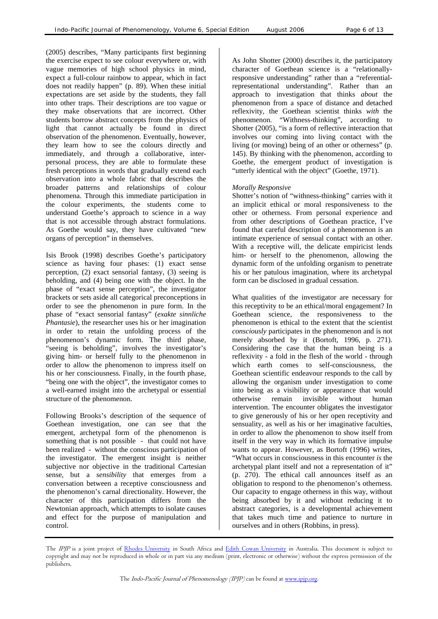(2005) describes, "Many participants first beginning the exercise expect to see colour everywhere or, with vague memories of high school physics in mind, expect a full-colour rainbow to appear, which in fact does not readily happen" (p. 89). When these initial expectations are set aside by the students, they fall into other traps. Their descriptions are too vague or they make observations that are incorrect. Other students borrow abstract concepts from the physics of light that cannot actually be found in direct observation of the phenomenon. Eventually, however, they learn how to see the colours directly and immediately, and through a collaborative, interpersonal process, they are able to formulate these fresh perceptions in words that gradually extend each observation into a whole fabric that describes the broader patterns and relationships of colour phenomena. Through this immediate participation in the colour experiments, the students come to understand Goethe's approach to science in a way that is not accessible through abstract formulations. As Goethe would say, they have cultivated "new organs of perception" in themselves.

Isis Brook (1998) describes Goethe's participatory science as having four phases: (1) exact sense perception, (2) exact sensorial fantasy, (3) seeing is beholding, and (4) being one with the object. In the phase of "exact sense perception", the investigator brackets or sets aside all categorical preconceptions in order to see the phenomenon in pure form. In the phase of "exact sensorial fantasy" (*exakte sinnliche Phantasie*), the researcher uses his or her imagination in order to retain the unfolding process of the phenomenon's dynamic form. The third phase, "seeing is beholding", involves the investigator's giving him- or herself fully to the phenomenon in order to allow the phenomenon to impress itself on his or her consciousness. Finally, in the fourth phase, "being one with the object", the investigator comes to a well-earned insight into the archetypal or essential structure of the phenomenon.

Following Brooks's description of the sequence of Goethean investigation, one can see that the emergent, archetypal form of the phenomenon is something that is not possible - that could not have been realized - without the conscious participation of the investigator. The emergent insight is neither subjective nor objective in the traditional Cartesian sense, but a *sensibility* that emerges from a conversation between a receptive consciousness and the phenomenon's carnal directionality. However, the character of this participation differs from the Newtonian approach, which attempts to isolate causes and effect for the purpose of manipulation and control.

As John Shotter (2000) describes it, the participatory character of Goethean science is a "relationallyresponsive understanding" rather than a "referentialrepresentational understanding". Rather than an approach to investigation that thinks *about* the phenomenon from a space of distance and detached reflexivity, the Goethean scientist thinks *with* the phenomenon. "Withness-thinking", according to Shotter (2005), "is a form of reflective interaction that involves our coming into living contact with the living (or moving) being of an other or otherness" (p. 145). By thinking with the phenomenon, according to Goethe, the emergent product of investigation is "utterly identical with the object" (Goethe, 1971).

#### *Morally Responsive*

Shotter's notion of "withness-thinking" carries with it an implicit ethical or moral responsiveness to the other or otherness. From personal experience and from other descriptions of Goethean practice, I've found that careful description of a phenomenon is an intimate experience of sensual contact with an other. With a receptive will, the delicate empiricist lends him- or herself to the phenomenon, allowing the dynamic form of the unfolding organism to penetrate his or her patulous imagination, where its archetypal form can be disclosed in gradual cessation.

What qualities of the investigator are necessary for this receptivity to be an ethical/moral engagement? In Goethean science, the responsiveness to the phenomenon is ethical to the extent that the scientist *consciously* participates in the phenomenon and is not merely absorbed by it (Bortoft, 1996, p. 271). Considering the case that the human being is a reflexivity - a fold in the flesh of the world - through which earth comes to self-consciousness, the Goethean scientific endeavour responds to the call by allowing the organism under investigation to come into being as a visibility or appearance that would otherwise remain invisible without human intervention. The encounter obligates the investigator to give generously of his or her open receptivity and sensuality, as well as his or her imaginative faculties, in order to allow the phenomenon to show itself from itself in the very way in which its formative impulse wants to appear. However, as Bortoft (1996) writes, "What occurs in consciousness in this encounter *is* the archetypal plant itself and not a representation of it" (p. 270). The ethical call announces itself as an obligation to respond to the phenomenon's otherness. Our capacity to engage otherness in this way, without being absorbed by it and without reducing it to abstract categories, is a developmental achievement that takes much time and patience to nurture in ourselves and in others (Robbins, in press).

The IPJP is a joint project of Rhodes University in South Africa and Edith Cowan University in Australia. This document is subject to copyright and may not be reproduced in whole or in part via any medium (print, electronic or otherwise) without the express permission of the publishers.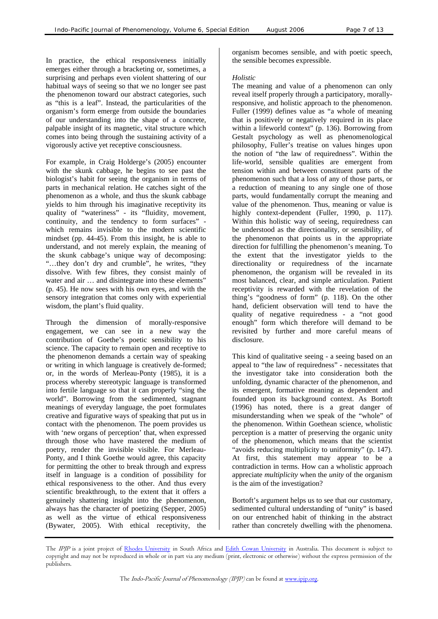In practice, the ethical responsiveness initially emerges either through a bracketing or, sometimes, a surprising and perhaps even violent shattering of our habitual ways of seeing so that we no longer see past the phenomenon toward our abstract categories, such as "this is a leaf". Instead, the particularities of the organism's form emerge from outside the boundaries of our understanding into the shape of a concrete, palpable insight of its magnetic, vital structure which comes into being through the sustaining activity of a vigorously active yet receptive consciousness.

For example, in Craig Holderge's (2005) encounter with the skunk cabbage, he begins to see past the biologist's habit for seeing the organism in terms of parts in mechanical relation. He catches sight of the phenomenon as a whole, and thus the skunk cabbage yields to him through his imaginative receptivity its quality of "wateriness" - its "fluidity, movement, continuity, and the tendency to form surfaces" which remains invisible to the modern scientific mindset (pp. 44-45). From this insight, he is able to understand, and not merely explain, the meaning of the skunk cabbage's unique way of decomposing: "...they don't dry and crumble", he writes, "they dissolve. With few fibres, they consist mainly of water and air  $\ldots$  and disintegrate into these elements" (p. 45). He now sees with his own eyes, and with the sensory integration that comes only with experiential wisdom, the plant's fluid quality.

Through the dimension of morally-responsive engagement, we can see in a new way the contribution of Goethe's poetic sensibility to his science. The capacity to remain open and receptive to the phenomenon demands a certain way of speaking or writing in which language is creatively de-formed; or, in the words of Merleau-Ponty (1985), it is a process whereby stereotypic language is transformed into fertile language so that it can properly "sing the world". Borrowing from the sedimented, stagnant meanings of everyday language, the poet formulates creative and figurative ways of speaking that put us in contact with the phenomenon. The poem provides us with 'new organs of perception' that, when expressed through those who have mastered the medium of poetry, render the invisible visible. For Merleau-Ponty, and I think Goethe would agree, this capacity for permitting the other to break through and express itself in language is a condition of possibility for ethical responsiveness to the other. And thus every scientific breakthrough, to the extent that it offers a genuinely shattering insight into the phenomenon, always has the character of poetizing (Sepper, 2005) as well as the virtue of ethical responsiveness (Bywater, 2005). With ethical receptivity, the

organism becomes sensible, and with poetic speech, the sensible becomes expressible.

## *Holistic*

The meaning and value of a phenomenon can only reveal itself properly through a participatory, morallyresponsive, and holistic approach to the phenomenon. Fuller (1999) defines value as "a whole of meaning that is positively or negatively required in its place within a lifeworld context" (p. 136). Borrowing from Gestalt psychology as well as phenomenological philosophy, Fuller's treatise on values hinges upon the notion of "the law of requiredness". Within the life-world, sensible qualities are emergent from tension within and between constituent parts of the phenomenon such that a loss of any of those parts, or a reduction of meaning to any single one of those parts, would fundamentally corrupt the meaning and value of the phenomenon. Thus, meaning or value is highly context-dependent (Fuller, 1990, p. 117). Within this holistic way of seeing, requiredness can be understood as the directionality, or sensibility, of the phenomenon that points us in the appropriate direction for fulfilling the phenomenon's meaning. To the extent that the investigator yields to the directionality or requiredness of the incarnate phenomenon, the organism will be revealed in its most balanced, clear, and simple articulation. Patient receptivity is rewarded with the revelation of the thing's "goodness of form" (p. 118). On the other hand, deficient observation will tend to have the quality of negative requiredness - a "not good enough" form which therefore will demand to be revisited by further and more careful means of disclosure.

This kind of qualitative seeing - a seeing based on an appeal to "the law of requiredness" - necessitates that the investigator take into consideration both the unfolding, dynamic character of the phenomenon, and its emergent, formative meaning as dependent and founded upon its background context. As Bortoft (1996) has noted, there is a great danger of misunderstanding when we speak of the "whole" of the phenomenon. Within Goethean science, wholistic perception is a matter of preserving the organic unity of the phenomenon, which means that the scientist "avoids reducing multiplicity to uniformity" (p. 147). At first, this statement may appear to be a contradiction in terms. How can a wholistic approach appreciate *multiplicity* when the *unity* of the organism is the aim of the investigation?

Bortoft's argument helps us to see that our customary, sedimented cultural understanding of "unity" is based on our entrenched habit of thinking in the abstract rather than concretely dwelling with the phenomena.

The IPJP is a joint project of Rhodes University in South Africa and Edith Cowan University in Australia. This document is subject to copyright and may not be reproduced in whole or in part via any medium (print, electronic or otherwise) without the express permission of the publishers.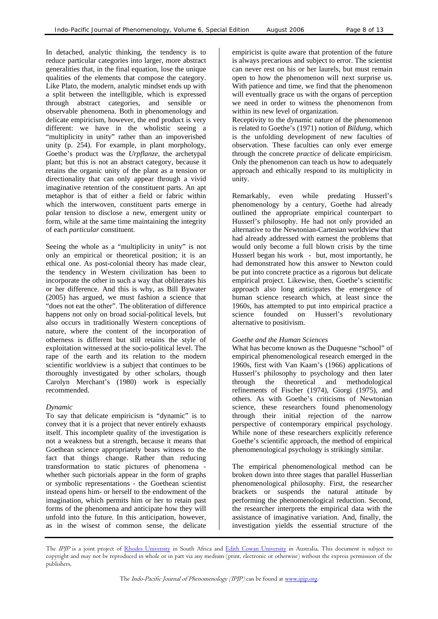In detached, analytic thinking, the tendency is to reduce particular categories into larger, more abstract generalities that, in the final equation, lose the unique qualities of the elements that compose the category. Like Plato, the modern, analytic mindset ends up with a split between the intelligible, which is expressed through abstract categories, and sensible or observable phenomena. Both in phenomenology and delicate empiricism, however, the end product is very different: we have in the wholistic seeing a "multiplicity in unity" rather than an impoverished unity (p. 254). For example, in plant morphology, Goethe's product was the *Urpflanze*, the archetypal plant; but this is not an abstract category, because it retains the organic unity of the plant as a tension or directionality that can only appear through a vivid imaginative retention of the constituent parts. An apt metaphor is that of either a field or fabric within which the interwoven, constituent parts emerge in polar tension to disclose a new, emergent unity or form, while at the same time maintaining the integrity of each *particular* constituent.

Seeing the whole as a "multiplicity in unity" is not only an empirical or theoretical position; it is an ethical one. As post-colonial theory has made clear, the tendency in Western civilization has been to incorporate the other in such a way that obliterates his or her difference. And this is why, as Bill Bywater (2005) has argued, we must fashion a science that "does not eat the other". The obliteration of difference happens not only on broad social-political levels, but also occurs in traditionally Western conceptions of nature, where the content of the incorporation of otherness is different but still retains the style of exploitation witnessed at the socio-political level. The rape of the earth and its relation to the modern scientific worldview is a subject that continues to be thoroughly investigated by other scholars, though Carolyn Merchant's (1980) work is especially recommended.

# *Dynamic*

To say that delicate empiricism is "dynamic" is to convey that it is a project that never entirely exhausts itself. This incomplete quality of the investigation is not a weakness but a strength, because it means that Goethean science appropriately bears witness to the fact that things change. Rather than reducing transformation to static pictures of phenomena whether such pictorials appear in the form of graphs or symbolic representations - the Goethean scientist instead opens him- or herself to the endowment of the imagination, which permits him or her to retain past forms of the phenomena and anticipate how they will unfold into the future. In this anticipation, however, as in the wisest of common sense, the delicate

empiricist is quite aware that protention of the future is always precarious and subject to error. The scientist can never rest on his or her laurels, but must remain open to how the phenomenon will next surprise us. With patience and time, we find that the phenomenon will eventually grace us with the organs of perception we need in order to witness the phenomenon from within its new level of organization.

Receptivity to the dynamic nature of the phenomenon is related to Goethe's (1971) notion of *Bildung*, which is the unfolding development of new faculties of observation. These faculties can only ever emerge through the concrete *practice* of delicate empiricism. Only the phenomenon can teach us how to adequately approach and ethically respond to its multiplicity in unity.

Remarkably, even while predating Husserl's phenomenology by a century, Goethe had already outlined the appropriate empirical counterpart to Husserl's philosophy. He had not only provided an alternative to the Newtonian-Cartesian worldview that had already addressed with earnest the problems that would only become a full blown crisis by the time Husserl began his work - but, most importantly, he had demonstrated how this answer to Newton could be put into concrete practice as a rigorous but delicate empirical project. Likewise, then, Goethe's scientific approach also long anticipates the emergence of human science research which, at least since the 1960s, has attempted to put into empirical practice a science founded on Husserl's revolutionary alternative to positivism.

# *Goethe and the Human Sciences*

What has become known as the Duquesne "school" of empirical phenomenological research emerged in the 1960s, first with Van Kaam's (1966) applications of Husserl's philosophy to psychology and then later through the theoretical and methodological refinements of Fischer (1974), Giorgi (1975), and others. As with Goethe's criticisms of Newtonian science, these researchers found phenomenology through their initial rejection of the narrow perspective of contemporary empirical psychology. While none of these researchers explicitly reference Goethe's scientific approach, the method of empirical phenomenological psychology is strikingly similar.

The empirical phenomenological method can be broken down into three stages that parallel Husserlian phenomenological philosophy. First, the researcher brackets or suspends the natural attitude by performing the phenomenological reduction. Second, the researcher interprets the empirical data with the assistance of imaginative variation. And, finally, the investigation yields the essential structure of the

The IPJP is a joint project of Rhodes University in South Africa and Edith Cowan University in Australia. This document is subject to copyright and may not be reproduced in whole or in part via any medium (print, electronic or otherwise) without the express permission of the publishers.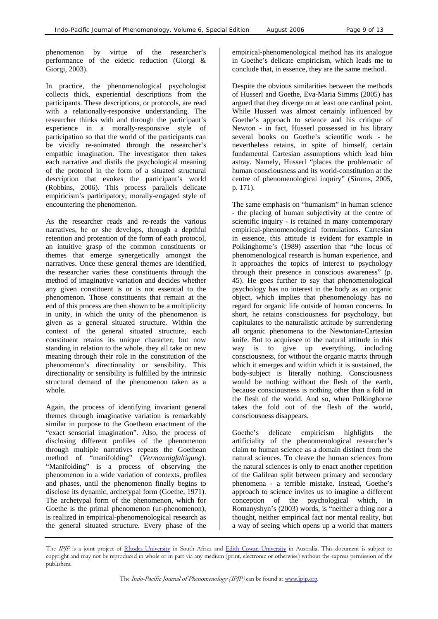phenomenon by virtue of the researcher's performance of the eidetic reduction (Giorgi & Giorgi, 2003).

In practice, the phenomenological psychologist collects thick, experiential descriptions from the participants. These descriptions, or protocols, are read with a relationally-responsive understanding. The researcher thinks with and through the participant's experience in a morally-responsive style of participation so that the world of the participants can be vividly re-animated through the researcher's empathic imagination. The investigator then takes each narrative and distils the psychological meaning of the protocol in the form of a situated structural description that evokes the participant's world (Robbins, 2006). This process parallels delicate empiricism's participatory, morally-engaged style of encountering the phenomenon.

As the researcher reads and re-reads the various narratives, he or she develops, through a depthful retention and protention of the form of each protocol, an intuitive grasp of the common constituents or themes that emerge synergetically amongst the narratives. Once these general themes are identified, the researcher varies these constituents through the method of imaginative variation and decides whether any given constituent is or is not essential to the phenomenon. Those constituents that remain at the end of this process are then shown to be a multiplicity in unity, in which the unity of the phenomenon is given as a general situated structure. Within the context of the general situated structure, each constituent retains its unique character; but now standing in relation to the whole, they all take on new meaning through their role in the constitution of the phenomenon's directionality or sensibility. This directionality or sensibility is fulfilled by the intrinsic structural demand of the phenomenon taken as a whole.

Again, the process of identifying invariant general themes through imaginative variation is remarkably similar in purpose to the Goethean enactment of the "exact sensorial imagination". Also, the process of disclosing different profiles of the phenomenon through multiple narratives repeats the Goethean method of "manifolding" (*Vermannigfaltigung*). "Manifolding" is a process of observing the phenomenon in a wide variation of contexts, profiles and phases, until the phenomenon finally begins to disclose its dynamic, archetypal form (Goethe, 1971). The archetypal form of the phenomenon, which for Goethe is the primal phenomenon (ur-phenomenon), is realized in empirical-phenomenological research as the general situated structure. Every phase of the

empirical-phenomenological method has its analogue in Goethe's delicate empiricism, which leads me to conclude that, in essence, they are the same method.

Despite the obvious similarities between the methods of Husserl and Goethe, Eva-Maria Simms (2005) has argued that they diverge on at least one cardinal point. While Husserl was almost certainly influenced by Goethe's approach to science and his critique of Newton - in fact, Husserl possessed in his library several books on Goethe's scientific work - he nevertheless retains, in spite of himself, certain fundamental Cartesian assumptions which lead him astray. Namely, Husserl "places the problematic of human consciousness and its world-constitution at the centre of phenomenological inquiry" (Simms, 2005, p. 171).

The same emphasis on "humanism" in human science - the placing of human subjectivity at the centre of scientific inquiry - is retained in many contemporary empirical-phenomenological formulations. Cartesian in essence, this attitude is evident for example in Polkinghorne's (1989) assertion that "the locus of phenomenological research is human experience, and it approaches the topics of interest to psychology through their presence in conscious awareness" (p. 45). He goes further to say that phenomenological psychology has no interest in the body as an organic object, which implies that phenomenology has no regard for organic life outside of human concerns. In short, he retains consciousness for psychology, but capitulates to the naturalistic attitude by surrendering all organic phenomena to the Newtonian-Cartesian knife. But to acquiesce to the natural attitude in this way is to give up everything, including consciousness, for without the organic matrix through which it emerges and within which it is sustained, the body-subject is literally nothing. Consciousness would be nothing without the flesh of the earth, because consciousness is nothing other than a fold in the flesh of the world. And so, when Polkinghorne takes the fold out of the flesh of the world, consciousness disappears.

Goethe's delicate empiricism highlights the artificiality of the phenomenological researcher's claim to human science as a domain distinct from the natural sciences. To cleave the human sciences from the natural sciences is only to enact another repetition of the Galilean split between primary and secondary phenomena - a terrible mistake. Instead, Goethe's approach to science invites us to imagine a different conception of the psychological which, in Romanyshyn's (2003) words, is "neither a thing nor a thought, neither empirical fact nor mental reality, but a way of seeing which opens up a world that matters

The IPJP is a joint project of Rhodes University in South Africa and Edith Cowan University in Australia. This document is subject to copyright and may not be reproduced in whole or in part via any medium (print, electronic or otherwise) without the express permission of the publishers.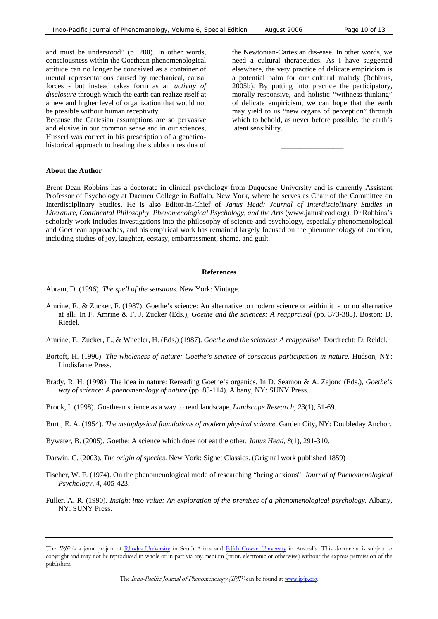and must be understood" (p. 200). In other words, consciousness within the Goethean phenomenological attitude can no longer be conceived as a container of mental representations caused by mechanical, causal forces - but instead takes form as an *activity of disclosure* through which the earth can realize itself at a new and higher level of organization that would not be possible without human receptivity.

Because the Cartesian assumptions are so pervasive and elusive in our common sense and in our sciences, Husserl was correct in his prescription of a geneticohistorical approach to healing the stubborn residua of the Newtonian-Cartesian dis-ease. In other words, we need a cultural therapeutics. As I have suggested elsewhere, the very practice of delicate empiricism is a potential balm for our cultural malady (Robbins, 2005b). By putting into practice the participatory, morally-responsive, and holistic "withness-thinking" of delicate empiricism, we can hope that the earth may yield to us "new organs of perception" through which to behold, as never before possible, the earth's latent sensibility.

\_\_\_\_\_\_\_\_\_\_\_\_\_\_\_\_\_

#### **About the Author**

Brent Dean Robbins has a doctorate in clinical psychology from Duquesne University and is currently Assistant Professor of Psychology at Daemen College in Buffalo, New York, where he serves as Chair of the Committee on Interdisciplinary Studies. He is also Editor-in-Chief of *Janus Head: Journal of Interdisciplinary Studies in Literature, Continental Philosophy, Phenomenological Psychology, and the Arts* [\(www.janushead.org](http://www.janushead.org/)). Dr Robbins's scholarly work includes investigations into the philosophy of science and psychology, especially phenomenological and Goethean approaches, and his empirical work has remained largely focused on the phenomenology of emotion, including studies of joy, laughter, ecstasy, embarrassment, shame, and guilt.

#### **References**

Abram, D. (1996). *The spell of the sensuous*. New York: Vintage.

- Amrine, F., & Zucker, F. (1987). Goethe's science: An alternative to modern science or within it or no alternative at all? In F. Amrine & F. J. Zucker (Eds.), *Goethe and the sciences: A reappraisal* (pp. 373-388). Boston: D. Riedel.
- Amrine, F., Zucker, F., & Wheeler, H. (Eds.) (1987). *Goethe and the sciences: A reappraisal*. Dordrecht: D. Reidel.
- Bortoft, H. (1996). *The wholeness of nature: Goethe's science of conscious participation in nature*. Hudson, NY: Lindisfarne Press.
- Brady, R. H. (1998). The idea in nature: Rereading Goethe's organics. In D. Seamon & A. Zajonc (Eds.), *Goethe's way of science: A phenomenology of nature* (pp. 83-114). Albany, NY: SUNY Press.

Brook, I. (1998). Goethean science as a way to read landscape. *Landscape Research, 23*(1), 51-69.

- Burtt, E. A. (1954). *The metaphysical foundations of modern physical science*. Garden City, NY: Doubleday Anchor.
- Bywater, B. (2005). Goethe: A science which does not eat the other. *Janus Head, 8*(1), 291-310.
- Darwin, C. (2003). *The origin of species*. New York: Signet Classics. (Original work published 1859)
- Fischer, W. F. (1974). On the phenomenological mode of researching "being anxious". *Journal of Phenomenological Psychology, 4*, 405-423.
- Fuller, A. R. (1990). *Insight into value: An exploration of the premises of a phenomenological psychology*. Albany, NY: SUNY Press.

The IPJP is a joint project of Rhodes University in South Africa and Edith Cowan University in Australia. This document is subject to copyright and may not be reproduced in whole or in part via any medium (print, electronic or otherwise) without the express permission of the publishers.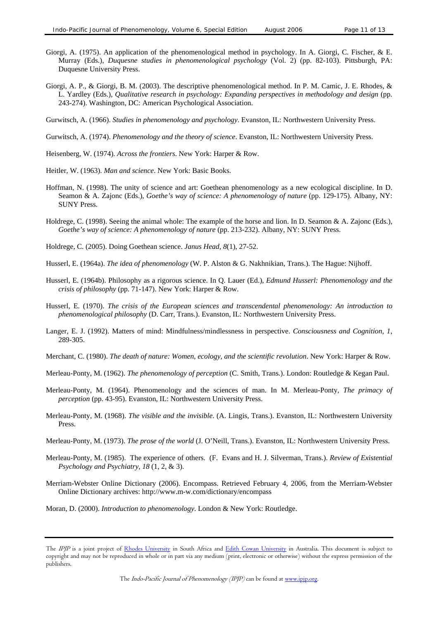- Giorgi, A. (1975). An application of the phenomenological method in psychology. In A. Giorgi, C. Fischer, & E. Murray (Eds.), *Duquesne studies in phenomenological psychology* (Vol. 2) (pp. 82-103). Pittsburgh, PA: Duquesne University Press.
- Giorgi, A. P., & Giorgi, B. M. (2003). The descriptive phenomenological method. In P. M. Camic, J. E. Rhodes, & L. Yardley (Eds.), *Qualitative research in psychology: Expanding perspectives in methodology and design* (pp. 243-274). Washington, DC: American Psychological Association.

Gurwitsch, A. (1966). *Studies in phenomenology and psychology*. Evanston, IL: Northwestern University Press.

Gurwitsch, A. (1974). *Phenomenology and the theory of science*. Evanston, IL: Northwestern University Press.

Heisenberg, W. (1974). *Across the frontiers*. New York: Harper & Row.

Heitler, W. (1963). *Man and science*. New York: Basic Books.

- Hoffman, N. (1998). The unity of science and art: Goethean phenomenology as a new ecological discipline. In D. Seamon & A. Zajonc (Eds.), *Goethe's way of science: A phenomenology of nature* (pp. 129-175). Albany, NY: SUNY Press.
- Holdrege, C. (1998). Seeing the animal whole: The example of the horse and lion. In D. Seamon & A. Zajonc (Eds.), *Goethe's way of science: A phenomenology of nature* (pp. 213-232). Albany, NY: SUNY Press.
- Holdrege, C. (2005). Doing Goethean science. *Janus Head, 8*(1), 27-52.
- Husserl, E. (1964a). *The idea of phenomenology* (W. P. Alston & G. Nakhnikian, Trans.). The Hague: Nijhoff.
- Husserl, E. (1964b). Philosophy as a rigorous science. In Q. Lauer (Ed.), *Edmund Husserl: Phenomenology and the crisis of philosophy* (pp. 71-147). New York: Harper & Row.
- Husserl, E. (1970). *The crisis of the European sciences and transcendental phenomenology: An introduction to phenomenological philosophy* (D. Carr, Trans.). Evanston, IL: Northwestern University Press.
- Langer, E. J. (1992). Matters of mind: Mindfulness/mindlessness in perspective. *Consciousness and Cognition, 1*, 289-305.
- Merchant, C. (1980). *The death of nature: Women, ecology, and the scientific revolution*. New York: Harper & Row.
- Merleau-Ponty, M. (1962). *The phenomenology of perception* (C. Smith, Trans.). London: Routledge & Kegan Paul.
- Merleau-Ponty, M. (1964). Phenomenology and the sciences of man. In M. Merleau-Ponty*, The primacy of perception* (pp. 43-95). Evanston, IL: Northwestern University Press.
- Merleau-Ponty, M. (1968). *The visible and the invisible*. (A. Lingis, Trans.). Evanston, IL: Northwestern University Press.
- Merleau-Ponty, M. (1973). *The prose of the world* (J. O'Neill, Trans.). Evanston, IL: Northwestern University Press.
- Merleau-Ponty, M. (1985). The experience of others. (F. Evans and H. J. Silverman, Trans.). *Review of Existential Psychology and Psychiatry, 18* (1, 2, & 3).
- Merriam-Webster Online Dictionary (2006). Encompass. Retrieved February 4, 2006, from the Merriam-Webster Online Dictionary archives: http://www.m-w.com/dictionary/encompass
- Moran, D. (2000). *Introduction to phenomenology*. London & New York: Routledge.

The IPJP is a joint project of Rhodes University in South Africa and Edith Cowan University in Australia. This document is subject to copyright and may not be reproduced in whole or in part via any medium (print, electronic or otherwise) without the express permission of the publishers.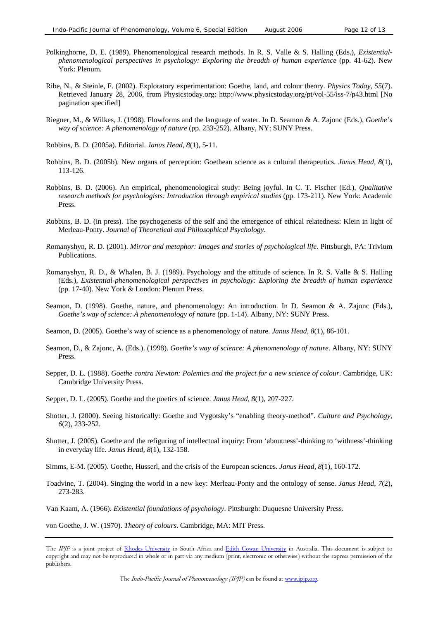- Polkinghorne, D. E. (1989). Phenomenological research methods. In R. S. Valle & S. Halling (Eds.), *Existentialphenomenological perspectives in psychology: Exploring the breadth of human experience* (pp. 41-62). New York: Plenum.
- Ribe, N., & Steinle, F. (2002). Exploratory experimentation: Goethe, land, and colour theory. *Physics Today, 55*(7). Retrieved January 28, 2006, from Physicstoday.org: <http://www.physicstoday.org/pt/vol-55/iss-7/p43.html>[No pagination specified]
- Riegner, M., & Wilkes, J. (1998). Flowforms and the language of water. In D. Seamon & A. Zajonc (Eds.), *Goethe's way of science: A phenomenology of nature* (pp. 233-252). Albany, NY: SUNY Press.
- Robbins, B. D. (2005a). Editorial. *Janus Head, 8*(1), 5-11.
- Robbins, B. D. (2005b). New organs of perception: Goethean science as a cultural therapeutics. *Janus Head, 8*(1), 113-126.
- Robbins, B. D. (2006). An empirical, phenomenological study: Being joyful. In C. T. Fischer (Ed.), *Qualitative research methods for psychologists: Introduction through empirical studies* (pp. 173-211). New York: Academic Press.
- Robbins, B. D. (in press). The psychogenesis of the self and the emergence of ethical relatedness: Klein in light of Merleau-Ponty. *Journal of Theoretical and Philosophical Psychology*.
- Romanyshyn, R. D. (2001). *Mirror and metaphor: Images and stories of psychological life*. Pittsburgh, PA: Trivium Publications.
- Romanyshyn, R. D., & Whalen, B. J. (1989). Psychology and the attitude of science. In R. S. Valle & S. Halling (Eds.), *Existential-phenomenological perspectives in psychology: Exploring the breadth of human experience* (pp. 17-40). New York & London: Plenum Press.
- Seamon, D. (1998). Goethe, nature, and phenomenology: An introduction. In D. Seamon & A. Zajonc (Eds.), *Goethe's way of science: A phenomenology of nature* (pp. 1-14). Albany, NY: SUNY Press.
- Seamon, D. (2005). Goethe's way of science as a phenomenology of nature*. Janus Head, 8*(1), 86-101.
- Seamon, D., & Zajonc, A. (Eds.). (1998). *Goethe's way of science: A phenomenology of nature*. Albany, NY: SUNY Press.
- Sepper, D. L. (1988). *Goethe contra Newton: Polemics and the project for a new science of colour*. Cambridge, UK: Cambridge University Press.
- Sepper, D. L. (2005). Goethe and the poetics of science. *Janus Head, 8*(1), 207-227.
- Shotter, J. (2000). Seeing historically: Goethe and Vygotsky's "enabling theory-method". *Culture and Psychology, 6*(2), 233-252.
- Shotter, J. (2005). Goethe and the refiguring of intellectual inquiry: From 'aboutness'-thinking to 'withness'-thinking in everyday life. *Janus Head, 8*(1), 132-158.

Simms, E-M. (2005). Goethe, Husserl, and the crisis of the European sciences. *Janus Head, 8*(1), 160-172.

- Toadvine, T. (2004). Singing the world in a new key: Merleau-Ponty and the ontology of sense. *Janus Head, 7*(2), 273-283.
- Van Kaam, A. (1966). *Existential foundations of psychology*. Pittsburgh: Duquesne University Press.

von Goethe, J. W. (1970). *Theory of colours*. Cambridge, MA: MIT Press.

The IPJP is a joint project of Rhodes University in South Africa and Edith Cowan University in Australia. This document is subject to copyright and may not be reproduced in whole or in part via any medium (print, electronic or otherwise) without the express permission of the publishers.